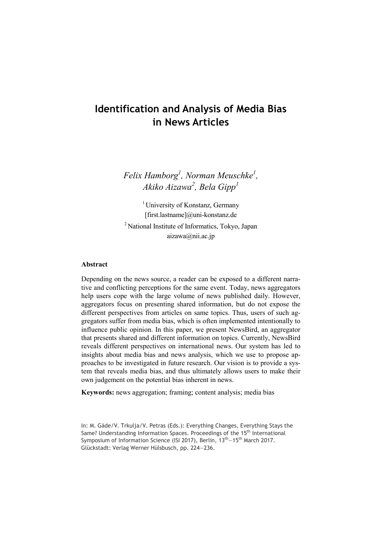# **Identification and Analysis of Media Bias in News Articles**

*Felix Hamborg<sup>1</sup> , Norman Meuschke<sup>1</sup> , Akiko Aizawa<sup>2</sup> , Bela Gipp<sup>1</sup>*

<sup>1</sup> University of Konstanz, Germany [first.lastname]@uni-konstanz.de <sup>2</sup> National Institute of Informatics, Tokyo, Japan aizawa@nii.ac.jp

#### **Abstract**

Depending on the news source, a reader can be exposed to a different narrative and conflicting perceptions for the same event. Today, news aggregators help users cope with the large volume of news published daily. However, aggregators focus on presenting shared information, but do not expose the different perspectives from articles on same topics. Thus, users of such aggregators suffer from media bias, which is often implemented intentionally to influence public opinion. In this paper, we present NewsBird, an aggregator that presents shared and different information on topics. Currently, NewsBird reveals different perspectives on international news. Our system has led to insights about media bias and news analysis, which we use to propose approaches to be investigated in future research. Our vision is to provide a system that reveals media bias, and thus ultimately allows users to make their own judgement on the potential bias inherent in news.

**Keywords:** news aggregation; framing; content analysis; media bias

In: M. Gäde/V. Trkulja/V. Petras (Eds.): Everything Changes, Everything Stays the Same? Understanding Information Spaces. Proceedings of the 15<sup>th</sup> International Symposium of Information Science (ISI 2017), Berlin, 13<sup>th</sup> -15<sup>th</sup> March 2017. Glückstadt: Verlag Werner Hülsbusch, pp. 224—236.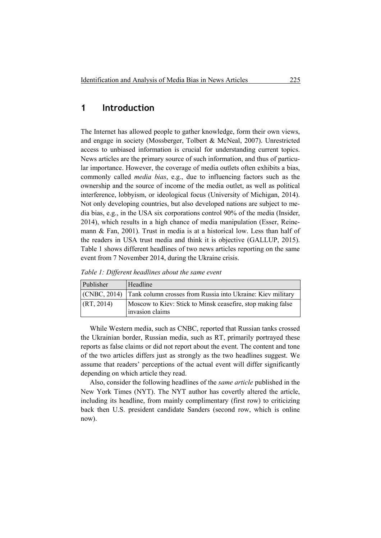## **1 Introduction**

The Internet has allowed people to gather knowledge, form their own views, and engage in society (Mossberger, Tolbert & McNeal, 2007). Unrestricted access to unbiased information is crucial for understanding current topics. News articles are the primary source of such information, and thus of particular importance. However, the coverage of media outlets often exhibits a bias, commonly called *media bias*, e.g., due to influencing factors such as the ownership and the source of income of the media outlet, as well as political interference, lobbyism, or ideological focus (University of Michigan, 2014). Not only developing countries, but also developed nations are subject to media bias, e.g., in the USA six corporations control 90% of the media (Insider, 2014), which results in a high chance of media manipulation (Esser, Reinemann & Fan, 2001). Trust in media is at a historical low. Less than half of the readers in USA trust media and think it is objective (GALLUP, 2015). Table 1 shows different headlines of two news articles reporting on the same event from 7 November 2014, during the Ukraine crisis.

*Table 1: Different headlines about the same event* 

| Publisher  | <b>Headline</b>                                                                |
|------------|--------------------------------------------------------------------------------|
|            | (CNBC, 2014) Tank column crosses from Russia into Ukraine: Kiev military       |
| (RT, 2014) | Moscow to Kiev: Stick to Minsk ceasefire, stop making false<br>invasion claims |

While Western media, such as CNBC, reported that Russian tanks crossed the Ukrainian border, Russian media, such as RT, primarily portrayed these reports as false claims or did not report about the event. The content and tone of the two articles differs just as strongly as the two headlines suggest. We assume that readers' perceptions of the actual event will differ significantly depending on which article they read.

Also, consider the following headlines of the *same article* published in the New York Times (NYT). The NYT author has covertly altered the article, including its headline, from mainly complimentary (first row) to criticizing back then U.S. president candidate Sanders (second row, which is online now).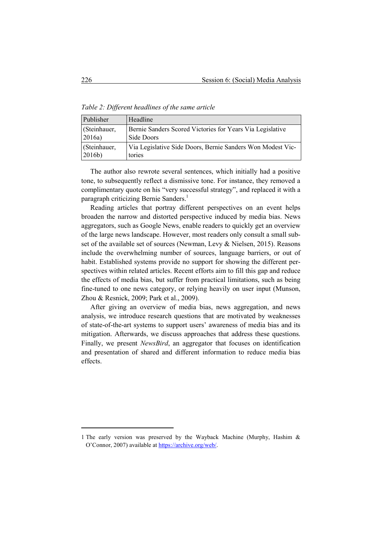*Table 2: Different headlines of the same article* 

| Publisher         | Headline                                                   |
|-------------------|------------------------------------------------------------|
| (Steinhauer,      | Bernie Sanders Scored Victories for Years Via Legislative  |
| 2016a)            | Side Doors                                                 |
| (Steinhauer,      | Via Legislative Side Doors, Bernie Sanders Won Modest Vic- |
| 2016 <sub>b</sub> | tories                                                     |

The author also rewrote several sentences, which initially had a positive tone, to subsequently reflect a dismissive tone. For instance, they removed a complimentary quote on his "very successful strategy", and replaced it with a paragraph criticizing Bernie Sanders.<sup>1</sup>

Reading articles that portray different perspectives on an event helps broaden the narrow and distorted perspective induced by media bias. News aggregators, such as Google News, enable readers to quickly get an overview of the large news landscape. However, most readers only consult a small subset of the available set of sources (Newman, Levy & Nielsen, 2015). Reasons include the overwhelming number of sources, language barriers, or out of habit. Established systems provide no support for showing the different perspectives within related articles. Recent efforts aim to fill this gap and reduce the effects of media bias, but suffer from practical limitations, such as being fine-tuned to one news category, or relying heavily on user input (Munson, Zhou & Resnick, 2009; Park et al., 2009).

After giving an overview of media bias, news aggregation, and news analysis, we introduce research questions that are motivated by weaknesses of state-of-the-art systems to support users' awareness of media bias and its mitigation. Afterwards, we discuss approaches that address these questions. Finally, we present *NewsBird*, an aggregator that focuses on identification and presentation of shared and different information to reduce media bias effects.

 $\overline{a}$ 

<sup>1</sup> The early version was preserved by the Wayback Machine (Murphy, Hashim & O'Connor, 2007) available at https://archive.org/web/.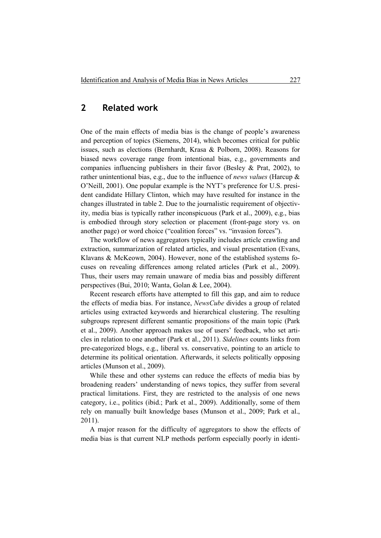# **2 Related work**

One of the main effects of media bias is the change of people's awareness and perception of topics (Siemens, 2014), which becomes critical for public issues, such as elections (Bernhardt, Krasa & Polborn, 2008). Reasons for biased news coverage range from intentional bias, e.g., governments and companies influencing publishers in their favor (Besley & Prat, 2002), to rather unintentional bias, e.g., due to the influence of *news values* (Harcup & O'Neill, 2001). One popular example is the NYT's preference for U.S. president candidate Hillary Clinton, which may have resulted for instance in the changes illustrated in table 2. Due to the journalistic requirement of objectivity, media bias is typically rather inconspicuous (Park et al., 2009), e.g., bias is embodied through story selection or placement (front-page story vs. on another page) or word choice ("coalition forces" vs. "invasion forces").

The workflow of news aggregators typically includes article crawling and extraction, summarization of related articles, and visual presentation (Evans, Klavans & McKeown, 2004). However, none of the established systems focuses on revealing differences among related articles (Park et al., 2009). Thus, their users may remain unaware of media bias and possibly different perspectives (Bui, 2010; Wanta, Golan & Lee, 2004).

Recent research efforts have attempted to fill this gap, and aim to reduce the effects of media bias. For instance, *NewsCube* divides a group of related articles using extracted keywords and hierarchical clustering. The resulting subgroups represent different semantic propositions of the main topic (Park et al., 2009). Another approach makes use of users' feedback, who set articles in relation to one another (Park et al., 2011). *Sidelines* counts links from pre-categorized blogs, e.g., liberal vs. conservative, pointing to an article to determine its political orientation. Afterwards, it selects politically opposing articles (Munson et al., 2009).

While these and other systems can reduce the effects of media bias by broadening readers' understanding of news topics, they suffer from several practical limitations. First, they are restricted to the analysis of one news category, i.e., politics (ibid.; Park et al., 2009). Additionally, some of them rely on manually built knowledge bases (Munson et al., 2009; Park et al., 2011).

A major reason for the difficulty of aggregators to show the effects of media bias is that current NLP methods perform especially poorly in identi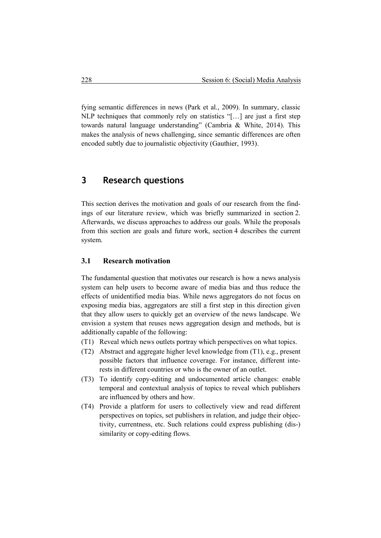fying semantic differences in news (Park et al., 2009). In summary, classic NLP techniques that commonly rely on statistics "[…] are just a first step towards natural language understanding" (Cambria & White, 2014). This makes the analysis of news challenging, since semantic differences are often encoded subtly due to journalistic objectivity (Gauthier, 1993).

# **3 Research questions**

This section derives the motivation and goals of our research from the findings of our literature review, which was briefly summarized in section 2. Afterwards, we discuss approaches to address our goals. While the proposals from this section are goals and future work, section 4 describes the current system.

#### **3.1 Research motivation**

The fundamental question that motivates our research is how a news analysis system can help users to become aware of media bias and thus reduce the effects of unidentified media bias. While news aggregators do not focus on exposing media bias, aggregators are still a first step in this direction given that they allow users to quickly get an overview of the news landscape. We envision a system that reuses news aggregation design and methods, but is additionally capable of the following:

- (T1) Reveal which news outlets portray which perspectives on what topics.
- (T2) Abstract and aggregate higher level knowledge from (T1), e.g., present possible factors that influence coverage. For instance, different inte rests in different countries or who is the owner of an outlet.
- (T3) To identify copy-editing and undocumented article changes: enable temporal and contextual analysis of topics to reveal which publishers are influenced by others and how.
- (T4) Provide a platform for users to collectively view and read different perspectives on topics, set publishers in relation, and judge their objec tivity, currentness, etc. Such relations could express publishing (dis-) similarity or copy-editing flows.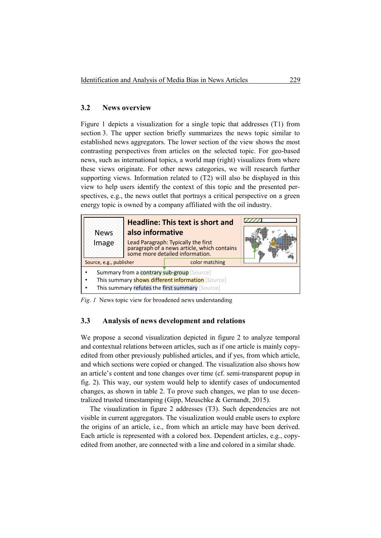#### **3.2 News overview**

Figure 1 depicts a visualization for a single topic that addresses (T1) from section 3. The upper section briefly summarizes the news topic similar to established news aggregators. The lower section of the view shows the most contrasting perspectives from articles on the selected topic. For geo-based news, such as international topics, a world map (right) visualizes from where these views originate. For other news categories, we will research further supporting views. Information related to (T2) will also be displayed in this view to help users identify the context of this topic and the presented perspectives, e.g., the news outlet that portrays a critical perspective on a green energy topic is owned by a company affiliated with the oil industry.

| <b>News</b><br>Image                                                                                                                               | <b>Headline: This text is short and</b><br>also informative<br>Lead Paragraph: Typically the first<br>paragraph of a news article, which contains<br>some more detailed information. |                |  |
|----------------------------------------------------------------------------------------------------------------------------------------------------|--------------------------------------------------------------------------------------------------------------------------------------------------------------------------------------|----------------|--|
| Source, e.g., publisher                                                                                                                            |                                                                                                                                                                                      | color matching |  |
| Summary from a contrary sub-group [Source]<br>This summary shows different information [Source]<br>This summary refutes the first summary [Source] |                                                                                                                                                                                      |                |  |

*Fig. 1* News topic view for broadened news understanding

#### **3.3 Analysis of news development and relations**

We propose a second visualization depicted in figure 2 to analyze temporal and contextual relations between articles, such as if one article is mainly copyedited from other previously published articles, and if yes, from which article, and which sections were copied or changed. The visualization also shows how an article's content and tone changes over time (cf. semi-transparent popup in fig. 2). This way, our system would help to identify cases of undocumented changes, as shown in table 2. To prove such changes, we plan to use decentralized trusted timestamping (Gipp, Meuschke & Gernandt, 2015).

The visualization in figure 2 addresses (T3). Such dependencies are not visible in current aggregators. The visualization would enable users to explore the origins of an article, i.e., from which an article may have been derived. Each article is represented with a colored box. Dependent articles, e.g., copyedited from another, are connected with a line and colored in a similar shade.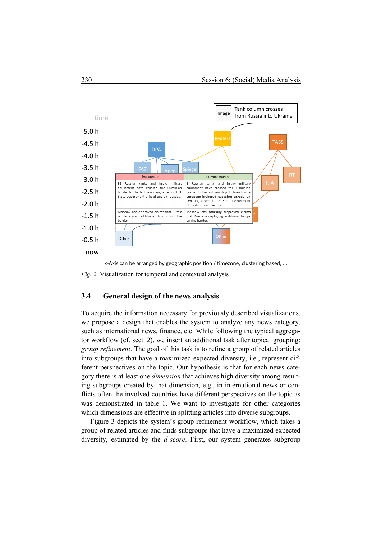

x-Axis can be arranged by geographic position / timezone, clustering based, ...

*Fig. 2* Visualization for temporal and contextual analysis

#### **3.4 General design of the news analysis**

To acquire the information necessary for previously described visualizations, we propose a design that enables the system to analyze any news category, such as international news, finance, etc. While following the typical aggregator workflow (cf. sect. 2), we insert an additional task after topical grouping: *group refinement*. The goal of this task is to refine a group of related articles into subgroups that have a maximized expected diversity, i.e., represent different perspectives on the topic. Our hypothesis is that for each news category there is at least one *dimension* that achieves high diversity among resulting subgroups created by that dimension, e.g., in international news or conflicts often the involved countries have different perspectives on the topic as was demonstrated in table 1. We want to investigate for other categories which dimensions are effective in splitting articles into diverse subgroups.

Figure 3 depicts the system's group refinement workflow, which takes a group of related articles and finds subgroups that have a maximized expected diversity, estimated by the *d-score*. First, our system generates subgroup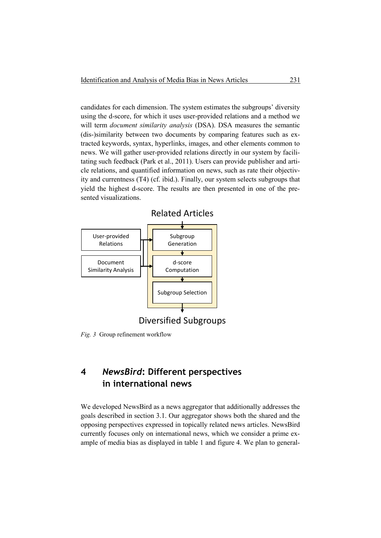candidates for each dimension. The system estimates the subgroups' diversity using the d-score, for which it uses user-provided relations and a method we will term *document similarity analysis* (DSA). DSA measures the semantic (dis-)similarity between two documents by comparing features such as extracted keywords, syntax, hyperlinks, images, and other elements common to news. We will gather user-provided relations directly in our system by facilitating such feedback (Park et al., 2011). Users can provide publisher and article relations, and quantified information on news, such as rate their objectivity and currentness (T4) (cf. ibid.). Finally, our system selects subgroups that yield the highest d-score. The results are then presented in one of the presented visualizations.



Diversified Subgroups

*Fig. 3* Group refinement workflow

# **4** *NewsBird***: Different perspectives in international news**

We developed NewsBird as a news aggregator that additionally addresses the goals described in section 3.1. Our aggregator shows both the shared and the opposing perspectives expressed in topically related news articles. NewsBird currently focuses only on international news, which we consider a prime example of media bias as displayed in table 1 and figure 4. We plan to general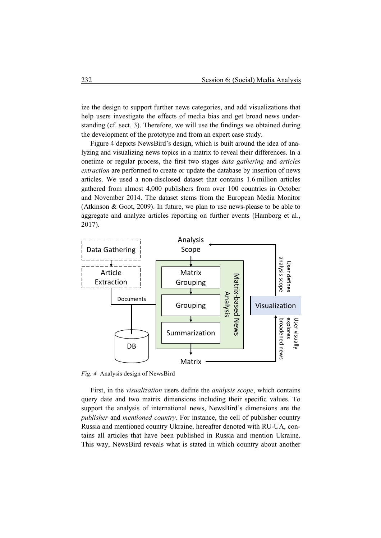ize the design to support further news categories, and add visualizations that help users investigate the effects of media bias and get broad news understanding (cf. sect. 3). Therefore, we will use the findings we obtained during the development of the prototype and from an expert case study.

Figure 4 depicts NewsBird's design, which is built around the idea of analyzing and visualizing news topics in a matrix to reveal their differences. In a onetime or regular process, the first two stages *data gathering* and *articles extraction* are performed to create or update the database by insertion of news articles. We used a non-disclosed dataset that contains 1.6 million articles gathered from almost 4,000 publishers from over 100 countries in October and November 2014. The dataset stems from the European Media Monitor (Atkinson & Goot, 2009). In future, we plan to use news-please to be able to aggregate and analyze articles reporting on further events (Hamborg et al., 2017).



*Fig. 4* Analysis design of NewsBird

First, in the *visualization* users define the *analysis scope*, which contains query date and two matrix dimensions including their specific values. To support the analysis of international news, NewsBird's dimensions are the *publisher* and *mentioned country*. For instance, the cell of publisher country Russia and mentioned country Ukraine, hereafter denoted with RU-UA, contains all articles that have been published in Russia and mention Ukraine. This way, NewsBird reveals what is stated in which country about another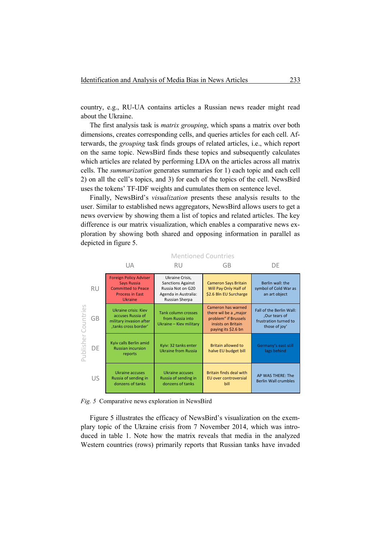country, e.g., RU-UA contains articles a Russian news reader might read about the Ukraine.

The first analysis task is *matrix grouping*, which spans a matrix over both dimensions, creates corresponding cells, and queries articles for each cell. Afterwards, the *grouping* task finds groups of related articles, i.e., which report on the same topic. NewsBird finds these topics and subsequently calculates which articles are related by performing LDA on the articles across all matrix cells. The *summarization* generates summaries for 1) each topic and each cell 2) on all the cell's topics, and 3) for each of the topics of the cell. NewsBird uses the tokens' TF-IDF weights and cumulates them on sentence level.

Finally, NewsBird's *visualization* presents these analysis results to the user. Similar to established news aggregators, NewsBird allows users to get a news overview by showing them a list of topics and related articles. The key difference is our matrix visualization, which enables a comparative news exploration by showing both shared and opposing information in parallel as depicted in figure 5.

|                        |           | UA                                                                                                                    | RU                                                                                                         | GB                                                                                                               | DE                                                                                  |  |  |  |
|------------------------|-----------|-----------------------------------------------------------------------------------------------------------------------|------------------------------------------------------------------------------------------------------------|------------------------------------------------------------------------------------------------------------------|-------------------------------------------------------------------------------------|--|--|--|
| Countries<br>Publisher | <b>RU</b> | <b>Foreign Policy Adviser</b><br>Says Russia<br><b>Committed to Peace</b><br><b>Process in East</b><br><b>Ukraine</b> | Ukraine Crisis,<br><b>Sanctions Against</b><br>Russia Not on G20<br>Agenda in Australia:<br>Russian Sherpa | <b>Cameron Says Britain</b><br>Will Pay Only Half of<br>\$2.6 Bln EU Surcharge                                   | Berlin wall: the<br>symbol of Cold War as<br>an art object                          |  |  |  |
|                        | GB        | <b>Ukraine crisis: Kiev</b><br>accuses Russia of<br>military invasion after<br>,tanks cross border'                   | <b>Tank column crosses</b><br>from Russia into<br>Ukraine - Kiev military                                  | Cameron has warned<br>there wil be a "major<br>problem" if Brussels<br>insists on Britain<br>paying its \$2.6 bn | Fall of the Berlin Wall:<br>,Our tears of<br>frustration turned to<br>those of joy' |  |  |  |
|                        | DE        | Kyiv calls Berlin amid<br><b>Russian incursion</b><br>reports                                                         | Kyiv: 32 tanks enter<br><b>Ukraine from Russia</b>                                                         | <b>Britain allowed to</b><br>halve EU budget bill                                                                | Germany's east still<br>lags behind                                                 |  |  |  |
|                        | US        | Ukraine accuses<br>Russia of sending in<br>donzens of tanks                                                           | Ukraine accuses<br>Russia of sending in<br>donzens of tanks                                                | Britain finds deal with<br>EU over controversial<br>bill                                                         | AP WAS THERE: The<br><b>Berlin Wall crumbles</b>                                    |  |  |  |

Mentioned Countries

*Fig. 5* Comparative news exploration in NewsBird

Figure 5 illustrates the efficacy of NewsBird's visualization on the exemplary topic of the Ukraine crisis from 7 November 2014, which was introduced in table 1. Note how the matrix reveals that media in the analyzed Western countries (rows) primarily reports that Russian tanks have invaded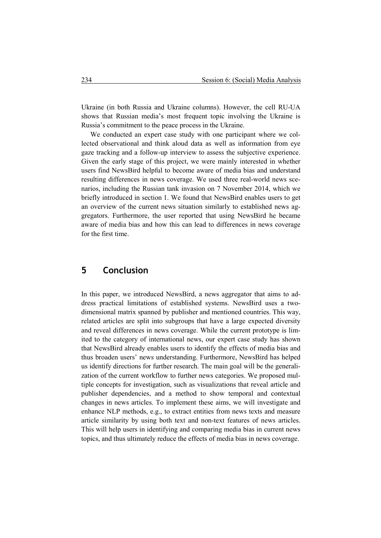Ukraine (in both Russia and Ukraine columns). However, the cell RU-UA shows that Russian media's most frequent topic involving the Ukraine is Russia's commitment to the peace process in the Ukraine.

We conducted an expert case study with one participant where we collected observational and think aloud data as well as information from eye gaze tracking and a follow-up interview to assess the subjective experience. Given the early stage of this project, we were mainly interested in whether users find NewsBird helpful to become aware of media bias and understand resulting differences in news coverage. We used three real-world news scenarios, including the Russian tank invasion on 7 November 2014, which we briefly introduced in section 1. We found that NewsBird enables users to get an overview of the current news situation similarly to established news aggregators. Furthermore, the user reported that using NewsBird he became aware of media bias and how this can lead to differences in news coverage for the first time.

## **5 Conclusion**

In this paper, we introduced NewsBird, a news aggregator that aims to address practical limitations of established systems. NewsBird uses a twodimensional matrix spanned by publisher and mentioned countries. This way, related articles are split into subgroups that have a large expected diversity and reveal differences in news coverage. While the current prototype is limited to the category of international news, our expert case study has shown that NewsBird already enables users to identify the effects of media bias and thus broaden users' news understanding. Furthermore, NewsBird has helped us identify directions for further research. The main goal will be the generalization of the current workflow to further news categories. We proposed multiple concepts for investigation, such as visualizations that reveal article and publisher dependencies, and a method to show temporal and contextual changes in news articles. To implement these aims, we will investigate and enhance NLP methods, e.g., to extract entities from news texts and measure article similarity by using both text and non-text features of news articles. This will help users in identifying and comparing media bias in current news topics, and thus ultimately reduce the effects of media bias in news coverage.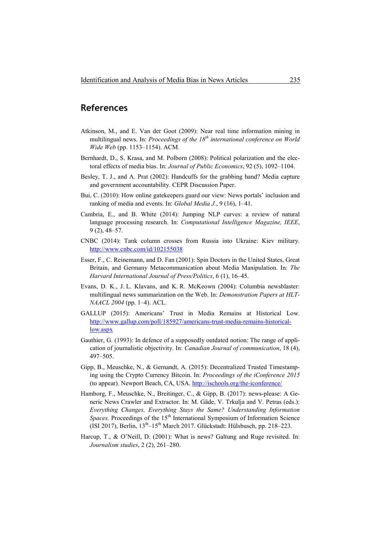## **References**

- Atkinson, M., and E. Van der Goot (2009): Near real time information mining in multilingual news. In: *Proceedings of the 18th international conference on World Wide Web* (pp. 1153–1154). ACM.
- Bernhardt, D., S. Krasa, and M. Polborn (2008): Political polarization and the electoral effects of media bias. In: *Journal of Public Economics*, 92 (5), 1092–1104.
- Besley, T. J., and A. Prat (2002): Handcuffs for the grabbing hand? Media capture and government accountability. CEPR Discussion Paper.
- Bui, C. (2010): How online gatekeepers guard our view: News portals' inclusion and ranking of media and events. In: *Global Media J.*, 9 (16), 1–41.
- Cambria, E., and B. White (2014): Jumping NLP curves: a review of natural language processing research. In: *Computational Intelligence Magazine, IEEE*, 9 (2), 48–57.
- CNBC (2014): Tank column crosses from Russia into Ukraine: Kiev military. http://www.cnbc.com/id/102155038
- Esser, F., C. Reinemann, and D. Fan (2001): Spin Doctors in the United States, Great Britain, and Germany Metacommunication about Media Manipulation. In: *The Harvard International Journal of Press/Politics*, 6 (1), 16–45.
- Evans, D. K., J. L. Klavans, and K. R. McKeown (2004): Columbia newsblaster: multilingual news summarization on the Web. In: *Demonstration Papers at HLT-NAACL 2004* (pp. 1–4). ACL.
- GALLUP (2015): Americans' Trust in Media Remains at Historical Low. http://www.gallup.com/poll/185927/americans-trust-media-remains-historicallow.aspx
- Gauthier, G. (1993): In defence of a supposedly outdated notion: The range of application of journalistic objectivity. In: *Canadian Journal of communication*, 18 (4), 497–505.
- Gipp, B., Meuschke, N., & Gernandt, A. (2015): Decentralized Trusted Timestamping using the Crypto Currency Bitcoin. In: *Proceedings of the iConference 2015*  (to appear). Newport Beach, CA, USA. http://ischools.org/the-iconference/
- Hamborg, F., Meuschke, N., Breitinger, C., & Gipp, B. (2017): news-please: A Generic News Crawler and Extractor. In: M. Gäde, V. Trkulja and V. Petras (eds.): *Everything Changes, Everything Stays the Same? Understanding Information Spaces.* Proceedings of the 15<sup>th</sup> International Symposium of Information Science (ISI 2017), Berlin, 13th–15th March 2017. Glückstadt: Hülsbusch, pp. 218–223.
- Harcup, T., & O'Neill, D. (2001): What is news? Galtung and Ruge revisited. In: *Journalism studies*, 2 (2), 261–280.